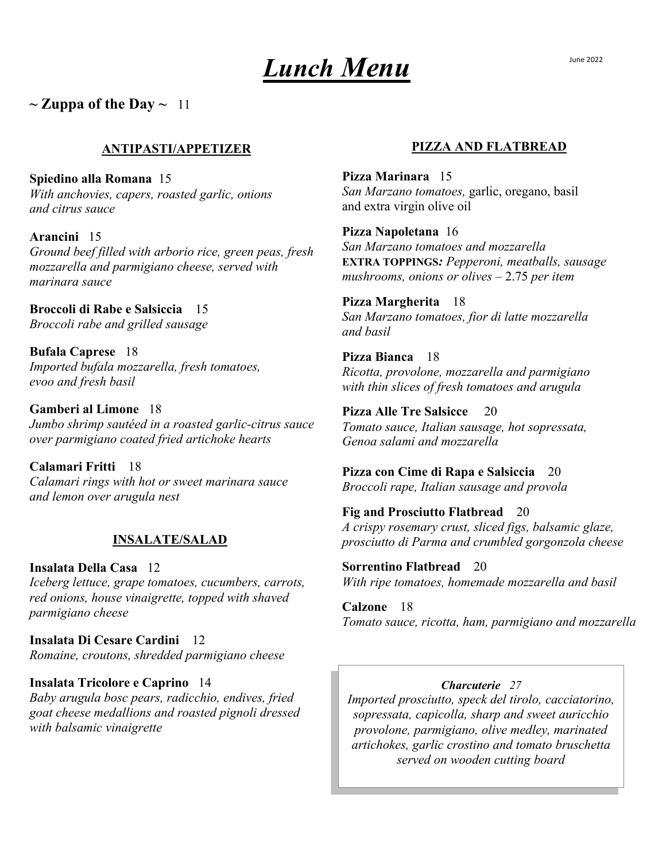# *Lunch Menu*

 $\sim$  Zuppa of the Day  $\sim$  11

## **ANTIPASTI/APPETIZER**

**Spiedino alla Romana** 15 *With anchovies, capers, roasted garlic, onions and citrus sauce*

**Arancini** 15 *Ground beef filled with arborio rice, green peas, fresh mozzarella and parmigiano cheese, served with marinara sauce*

**Broccoli di Rabe e Salsiccia** 15 *Broccoli rabe and grilled sausage*

**Bufala Caprese** 18 *Imported bufala mozzarella, fresh tomatoes, evoo and fresh basil*

**Gamberi al Limone** 18 *Jumbo shrimp sautéed in a roasted garlic-citrus sauce over parmigiano coated fried artichoke hearts*

**Calamari Fritti** 18 *Calamari rings with hot or sweet marinara sauce and lemon over arugula nest*

## **INSALATE/SALAD**

**Insalata Della Casa** 12 *Iceberg lettuce, grape tomatoes, cucumbers, carrots, red onions, house vinaigrette, topped with shaved parmigiano cheese*

**Insalata Di Cesare Cardini** 12 *Romaine, croutons, shredded parmigiano cheese*

**Insalata Tricolore e Caprino** 14 *Baby arugula bosc pears, radicchio, endives, fried goat cheese medallions and roasted pignoli dressed with balsamic vinaigrette*

## **PIZZA AND FLATBREAD**

**Pizza Marinara** 15 *San Marzano tomatoes,* garlic, oregano, basil and extra virgin olive oil

**Pizza Napoletana** 16 *San Marzano tomatoes and mozzarella* **EXTRA TOPPINGS***: Pepperoni, meatballs, sausage mushrooms, onions or olives –* 2.75 *per item*

**Pizza Margherita** 18 *San Marzano tomatoes, fior di latte mozzarella and basil* 

**Pizza Bianca** 18 *Ricotta, provolone, mozzarella and parmigiano with thin slices of fresh tomatoes and arugula*

**Pizza Alle Tre Salsicce** 20 *Tomato sauce, Italian sausage, hot sopressata, Genoa salami and mozzarella* 

**Pizza con Cime di Rapa e Salsiccia** 20 *Broccoli rape, Italian sausage and provola*

**Fig and Prosciutto Flatbread** 20 *A crispy rosemary crust, sliced figs, balsamic glaze, prosciutto di Parma and crumbled gorgonzola cheese* 

**Sorrentino Flatbread**20 *With ripe tomatoes, homemade mozzarella and basil*

**Calzone** 18 *Tomato sauce, ricotta, ham, parmigiano and mozzarella* 

## *Charcuterie 27*

*Imported prosciutto, speck del tirolo, cacciatorino, sopressata, capicolla, sharp and sweet auricchio provolone, parmigiano, olive medley, marinated artichokes, garlic crostino and tomato bruschetta served on wooden cutting board*